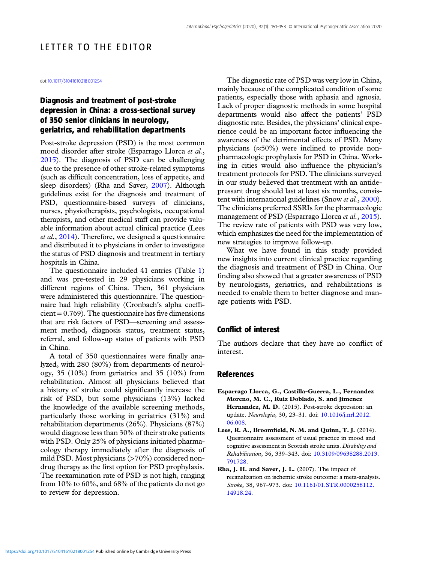## LETTER TO THE EDITOR

doi[:10.1017/S1041610218001254](https://doi.org/10.1017/S1041610218001254)

## Diagnosis and treatment of post-stroke depression in China: a cross-sectional survey of 350 senior clinicians in neurology, geriatrics, and rehabilitation departments

Post-stroke depression (PSD) is the most common mood disorder after stroke (Esparrago Llorca et al., 2015). The diagnosis of PSD can be challenging due to the presence of other stroke-related symptoms (such as difficult concentration, loss of appetite, and sleep disorders) (Rha and Saver, 2007). Although guidelines exist for the diagnosis and treatment of PSD, questionnaire-based surveys of clinicians, nurses, physiotherapists, psychologists, occupational therapists, and other medical staff can provide valuable information about actual clinical practice (Lees et al., 2014). Therefore, we designed a questionnaire and distributed it to physicians in order to investigate the status of PSD diagnosis and treatment in tertiary hospitals in China.

The questionnaire included 41 entries (Table [1](#page-1-0)) and was pre-tested in 29 physicians working in different regions of China. Then, 361 physicians were administered this questionnaire. The questionnaire had high reliability (Cronbach's alpha coeffi $cient = 0.769$ . The questionnaire has five dimensions that are risk factors of PSD—screening and assessment method, diagnosis status, treatment status, referral, and follow-up status of patients with PSD in China.

A total of 350 questionnaires were finally analyzed, with 280 (80%) from departments of neurology, 35 (10%) from geriatrics and 35 (10%) from rehabilitation. Almost all physicians believed that a history of stroke could significantly increase the risk of PSD, but some physicians (13%) lacked the knowledge of the available screening methods, particularly those working in geriatrics (31%) and rehabilitation departments (26%). Physicians (87%) would diagnose less than 30% of their stroke patients with PSD. Only 25% of physicians initiated pharmacology therapy immediately after the diagnosis of mild PSD. Most physicians (>70%) considered nondrug therapy as the first option for PSD prophylaxis. The reexamination rate of PSD is not high, ranging from 10% to 60%, and 68% of the patients do not go to review for depression.

The diagnostic rate of PSD was very low in China, mainly because of the complicated condition of some patients, especially those with aphasia and agnosia. Lack of proper diagnostic methods in some hospital departments would also affect the patients' PSD diagnostic rate. Besides, the physicians' clinical experience could be an important factor influencing the awareness of the detrimental effects of PSD. Many physicians (≈50%) were inclined to provide nonpharmacologic prophylaxis for PSD in China. Working in cities would also influence the physician's treatment protocols for PSD. The clinicians surveyed in our study believed that treatment with an antidepressant drug should last at least six months, consis-tent with international guidelines (Snow et al., [2000](#page-2-0)). The clinicians preferred SSRIs for the pharmacologic management of PSD (Esparrago Llorca et al., 2015). The review rate of patients with PSD was very low, which emphasizes the need for the implementation of new strategies to improve follow-up.

What we have found in this study provided new insights into current clinical practice regarding the diagnosis and treatment of PSD in China. Our finding also showed that a greater awareness of PSD by neurologists, geriatrics, and rehabilitations is needed to enable them to better diagnose and manage patients with PSD.

## Conflict of interest

The authors declare that they have no conflict of interest.

## References

- Esparrago Llorca, G., Castilla-Guerra, L., Fernandez Moreno, M. C., Ruiz Doblado, S. and Jimenez Hernandez, M. D. (2015). Post-stroke depression: an update. Neurologia, 30, 23–31. doi: [10.1016/j.nrl.2012.](https://doi.org/10.1016/j.nrl.2012.06.008) [06.008](https://doi.org/10.1016/j.nrl.2012.06.008).
- Lees, R. A., Broomfield, N. M. and Quinn, T. J. (2014). Questionnaire assessment of usual practice in mood and cognitive assessment in Scottish stroke units. Disability and Rehabilitation, 36, 339–343. doi: [10.3109/09638288.2013.](https://doi.org/10.3109/09638288.2013.791728) [791728.](https://doi.org/10.3109/09638288.2013.791728)
- Rha, J. H. and Saver, J. L. (2007). The impact of recanalization on ischemic stroke outcome: a meta-analysis. Stroke, 38, 967–973. doi: [10.1161/01.STR.0000258112.](https://doi.org/10.1161/01.STR.0000258112.14918.24) [14918.24.](https://doi.org/10.1161/01.STR.0000258112.14918.24)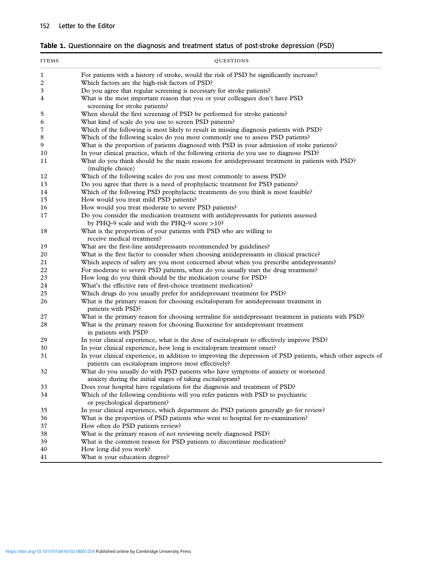<span id="page-1-0"></span>

|  | Table 1. Questionnaire on the diagnosis and treatment status of post-stroke depression (PSD) |  |  |  |  |  |  |  |  |  |
|--|----------------------------------------------------------------------------------------------|--|--|--|--|--|--|--|--|--|
|--|----------------------------------------------------------------------------------------------|--|--|--|--|--|--|--|--|--|

| <b>ITEMS</b> | QUESTIONS                                                                                                                                                           |  |  |  |  |  |  |  |
|--------------|---------------------------------------------------------------------------------------------------------------------------------------------------------------------|--|--|--|--|--|--|--|
| 1            | For patients with a history of stroke, would the risk of PSD be significantly increase?                                                                             |  |  |  |  |  |  |  |
| 2            | Which factors are the high-risk factors of PSD?                                                                                                                     |  |  |  |  |  |  |  |
| 3            | Do you agree that regular screening is necessary for stroke patients?                                                                                               |  |  |  |  |  |  |  |
| 4            | What is the most important reason that you or your colleagues don't have PSD<br>screening for stroke patients?                                                      |  |  |  |  |  |  |  |
| 5            | When should the first screening of PSD be performed for stroke patients?                                                                                            |  |  |  |  |  |  |  |
| 6            | What kind of scale do you use to screen PSD patients?                                                                                                               |  |  |  |  |  |  |  |
| 7            | Which of the following is most likely to result in missing diagnosis patients with PSD?                                                                             |  |  |  |  |  |  |  |
| 8            | Which of the following scales do you most commonly use to assess PSD patients?                                                                                      |  |  |  |  |  |  |  |
| 9            | What is the proportion of patients diagnosed with PSD in your admission of stoke patients?                                                                          |  |  |  |  |  |  |  |
| 10           | In your clinical practice, which of the following criteria do you use to diagnose PSD?                                                                              |  |  |  |  |  |  |  |
| 11           | What do you think should be the main reasons for antidepressant treatment in patients with PSD?<br>(multiple choice)                                                |  |  |  |  |  |  |  |
| 12           | Which of the following scales do you use most commonly to assess PSD?                                                                                               |  |  |  |  |  |  |  |
| 13           | Do you agree that there is a need of prophylactic treatment for PSD patients?                                                                                       |  |  |  |  |  |  |  |
| 14           | Which of the following PSD prophylactic treatments do you think is most feasible?                                                                                   |  |  |  |  |  |  |  |
| 15           | How would you treat mild PSD patients?                                                                                                                              |  |  |  |  |  |  |  |
| 16           | How would you treat moderate to severe PSD patients?                                                                                                                |  |  |  |  |  |  |  |
| 17           | Do you consider the medication treatment with antidepressants for patients assessed                                                                                 |  |  |  |  |  |  |  |
|              | by PHQ-9 scale and with the PHQ-9 score >10?                                                                                                                        |  |  |  |  |  |  |  |
| 18           | What is the proportion of your patients with PSD who are willing to<br>receive medical treatment?                                                                   |  |  |  |  |  |  |  |
| 19           | What are the first-line antidepressants recommended by guidelines?                                                                                                  |  |  |  |  |  |  |  |
| 20           | What is the first factor to consider when choosing antidepressants in clinical practice?                                                                            |  |  |  |  |  |  |  |
| 21           | Which aspects of safety are you most concerned about when you prescribe antidepressants?                                                                            |  |  |  |  |  |  |  |
| 22           | For moderate to severe PSD patients, when do you usually start the drug treatment?                                                                                  |  |  |  |  |  |  |  |
| 23           | How long do you think should be the medication course for PSD?                                                                                                      |  |  |  |  |  |  |  |
| 24           | What's the effective rate of first-choice treatment medication?                                                                                                     |  |  |  |  |  |  |  |
| 25           | Which drugs do you usually prefer for antidepressant treatment for PSD?                                                                                             |  |  |  |  |  |  |  |
| 26           | What is the primary reason for choosing escitaloperam for antidepressant treatment in<br>patients with PSD?                                                         |  |  |  |  |  |  |  |
| 27           | What is the primary reason for choosing sertraline for antidepressant treatment in patients with PSD?                                                               |  |  |  |  |  |  |  |
| 28           | What is the primary reason for choosing fluoxetine for antidepressant treatment<br>in patients with PSD?                                                            |  |  |  |  |  |  |  |
| 29           | In your clinical experience, what is the dose of escital opram to effectively improve PSD?                                                                          |  |  |  |  |  |  |  |
| 30           | In your clinical experience, how long is escitalopram treatment onset?                                                                                              |  |  |  |  |  |  |  |
| 31           | In your clinical experience, in addition to improving the depression of PSD patients, which other aspects of<br>patients can escitalopram improve most effectively? |  |  |  |  |  |  |  |
| 32           | What do you usually do with PSD patients who have symptoms of anxiety or worsened<br>anxiety during the initial stages of taking escitalopram?                      |  |  |  |  |  |  |  |
| 33           | Does your hospital have regulations for the diagnosis and treatment of PSD?                                                                                         |  |  |  |  |  |  |  |
| 34           | Which of the following conditions will you refer patients with PSD to psychiatric<br>or psychological department?                                                   |  |  |  |  |  |  |  |
| 35           | In your clinical experience, which department do PSD patients generally go for review?                                                                              |  |  |  |  |  |  |  |
| 36           | What is the proportion of PSD patients who went to hospital for re-examination?                                                                                     |  |  |  |  |  |  |  |
| 37           | How often do PSD patients review?                                                                                                                                   |  |  |  |  |  |  |  |
| 38           | What is the primary reason of not reviewing newly diagnosed PSD?                                                                                                    |  |  |  |  |  |  |  |
| 39           | What is the common reason for PSD patients to discontinue medication?                                                                                               |  |  |  |  |  |  |  |
| 40           | How long did you work?                                                                                                                                              |  |  |  |  |  |  |  |
| 41           | What is your education degree?                                                                                                                                      |  |  |  |  |  |  |  |
|              |                                                                                                                                                                     |  |  |  |  |  |  |  |